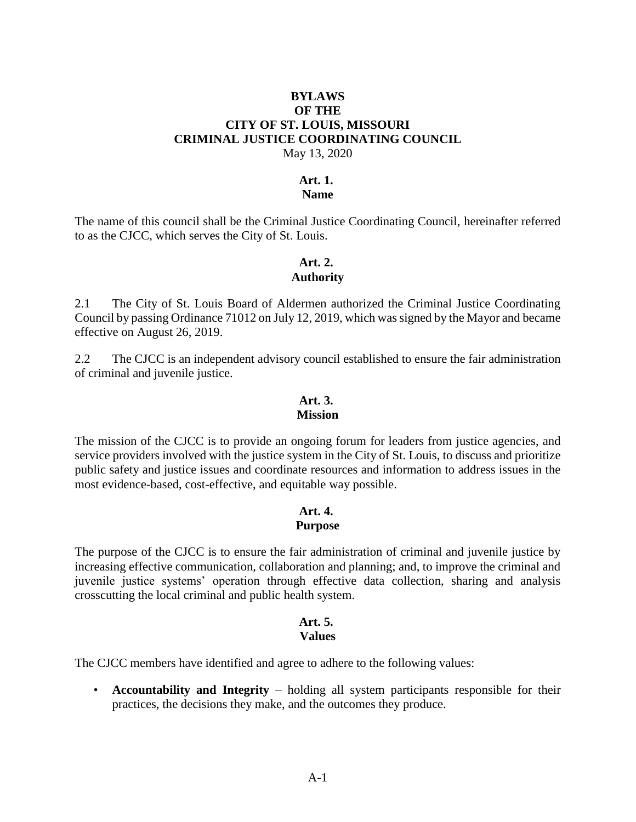#### **BYLAWS OF THE CITY OF ST. LOUIS, MISSOURI CRIMINAL JUSTICE COORDINATING COUNCIL** May 13, 2020

#### **Art. 1.**

#### **Name**

The name of this council shall be the Criminal Justice Coordinating Council, hereinafter referred to as the CJCC, which serves the City of St. Louis.

# **Art. 2.**

### **Authority**

2.1 The City of St. Louis Board of Aldermen authorized the Criminal Justice Coordinating Council by passing Ordinance 71012 on July 12, 2019, which was signed by the Mayor and became effective on August 26, 2019.

2.2 The CJCC is an independent advisory council established to ensure the fair administration of criminal and juvenile justice.

#### **Art. 3. Mission**

The mission of the CJCC is to provide an ongoing forum for leaders from justice agencies, and service providers involved with the justice system in the City of St. Louis, to discuss and prioritize public safety and justice issues and coordinate resources and information to address issues in the most evidence-based, cost-effective, and equitable way possible.

#### **Art. 4. Purpose**

The purpose of the CJCC is to ensure the fair administration of criminal and juvenile justice by increasing effective communication, collaboration and planning; and, to improve the criminal and juvenile justice systems' operation through effective data collection, sharing and analysis crosscutting the local criminal and public health system.

#### **Art. 5. Values**

The CJCC members have identified and agree to adhere to the following values:

• **Accountability and Integrity** – holding all system participants responsible for their practices, the decisions they make, and the outcomes they produce.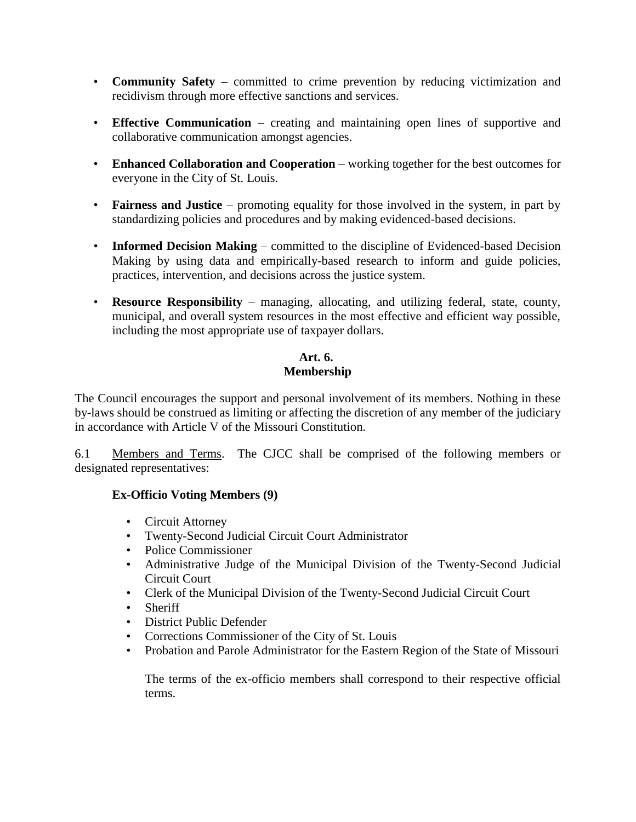- **Community Safety** committed to crime prevention by reducing victimization and recidivism through more effective sanctions and services.
- **Effective Communication** creating and maintaining open lines of supportive and collaborative communication amongst agencies.
- **Enhanced Collaboration and Cooperation** working together for the best outcomes for everyone in the City of St. Louis.
- **Fairness and Justice** promoting equality for those involved in the system, in part by standardizing policies and procedures and by making evidenced-based decisions.
- **Informed Decision Making** committed to the discipline of Evidenced-based Decision Making by using data and empirically-based research to inform and guide policies, practices, intervention, and decisions across the justice system.
- **Resource Responsibility** managing, allocating, and utilizing federal, state, county, municipal, and overall system resources in the most effective and efficient way possible, including the most appropriate use of taxpayer dollars.

# **Art. 6. Membership**

The Council encourages the support and personal involvement of its members. Nothing in these by-laws should be construed as limiting or affecting the discretion of any member of the judiciary in accordance with Article V of the Missouri Constitution.

6.1 Members and Terms. The CJCC shall be comprised of the following members or designated representatives:

# **Ex-Officio Voting Members (9)**

- Circuit Attorney
- Twenty-Second Judicial Circuit Court Administrator
- Police Commissioner
- Administrative Judge of the Municipal Division of the Twenty-Second Judicial Circuit Court
- Clerk of the Municipal Division of the Twenty-Second Judicial Circuit Court
- Sheriff
- District Public Defender
- Corrections Commissioner of the City of St. Louis
- Probation and Parole Administrator for the Eastern Region of the State of Missouri

The terms of the ex-officio members shall correspond to their respective official terms.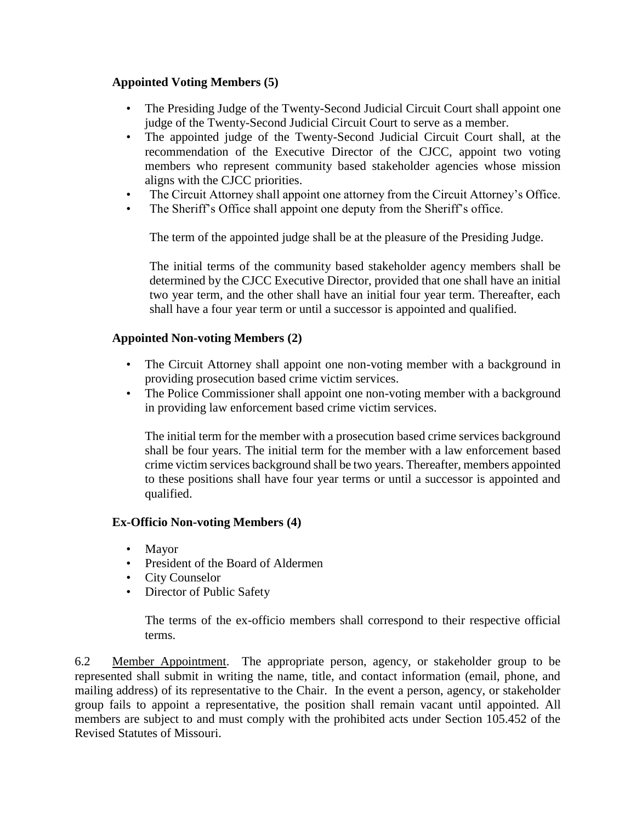# **Appointed Voting Members (5)**

- The Presiding Judge of the Twenty-Second Judicial Circuit Court shall appoint one judge of the Twenty-Second Judicial Circuit Court to serve as a member.
- The appointed judge of the Twenty-Second Judicial Circuit Court shall, at the recommendation of the Executive Director of the CJCC, appoint two voting members who represent community based stakeholder agencies whose mission aligns with the CJCC priorities.
- The Circuit Attorney shall appoint one attorney from the Circuit Attorney's Office.
- The Sheriff's Office shall appoint one deputy from the Sheriff's office.

The term of the appointed judge shall be at the pleasure of the Presiding Judge.

The initial terms of the community based stakeholder agency members shall be determined by the CJCC Executive Director, provided that one shall have an initial two year term, and the other shall have an initial four year term. Thereafter, each shall have a four year term or until a successor is appointed and qualified.

### **Appointed Non-voting Members (2)**

- The Circuit Attorney shall appoint one non-voting member with a background in providing prosecution based crime victim services.
- The Police Commissioner shall appoint one non-voting member with a background in providing law enforcement based crime victim services.

The initial term for the member with a prosecution based crime services background shall be four years. The initial term for the member with a law enforcement based crime victim services background shall be two years. Thereafter, members appointed to these positions shall have four year terms or until a successor is appointed and qualified.

#### **Ex-Officio Non-voting Members (4)**

- Mayor
- President of the Board of Aldermen
- City Counselor
- Director of Public Safety

The terms of the ex-officio members shall correspond to their respective official terms.

6.2 Member Appointment. The appropriate person, agency, or stakeholder group to be represented shall submit in writing the name, title, and contact information (email, phone, and mailing address) of its representative to the Chair. In the event a person, agency, or stakeholder group fails to appoint a representative, the position shall remain vacant until appointed. All members are subject to and must comply with the prohibited acts under Section 105.452 of the Revised Statutes of Missouri.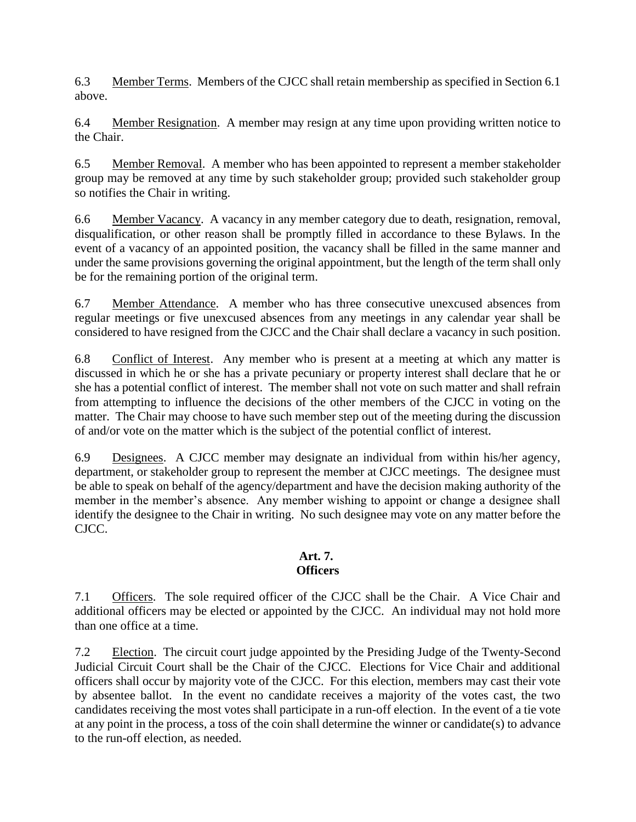6.3 Member Terms. Members of the CJCC shall retain membership as specified in Section 6.1 above.

6.4 Member Resignation. A member may resign at any time upon providing written notice to the Chair.

6.5 Member Removal. A member who has been appointed to represent a member stakeholder group may be removed at any time by such stakeholder group; provided such stakeholder group so notifies the Chair in writing.

6.6 Member Vacancy. A vacancy in any member category due to death, resignation, removal, disqualification, or other reason shall be promptly filled in accordance to these Bylaws. In the event of a vacancy of an appointed position, the vacancy shall be filled in the same manner and under the same provisions governing the original appointment, but the length of the term shall only be for the remaining portion of the original term.

6.7 Member Attendance. A member who has three consecutive unexcused absences from regular meetings or five unexcused absences from any meetings in any calendar year shall be considered to have resigned from the CJCC and the Chair shall declare a vacancy in such position.

6.8 Conflict of Interest. Any member who is present at a meeting at which any matter is discussed in which he or she has a private pecuniary or property interest shall declare that he or she has a potential conflict of interest. The member shall not vote on such matter and shall refrain from attempting to influence the decisions of the other members of the CJCC in voting on the matter. The Chair may choose to have such member step out of the meeting during the discussion of and/or vote on the matter which is the subject of the potential conflict of interest.

6.9 Designees. A CJCC member may designate an individual from within his/her agency, department, or stakeholder group to represent the member at CJCC meetings. The designee must be able to speak on behalf of the agency/department and have the decision making authority of the member in the member's absence. Any member wishing to appoint or change a designee shall identify the designee to the Chair in writing. No such designee may vote on any matter before the CJCC.

# **Art. 7. Officers**

7.1 Officers. The sole required officer of the CJCC shall be the Chair. A Vice Chair and additional officers may be elected or appointed by the CJCC. An individual may not hold more than one office at a time.

7.2 Election. The circuit court judge appointed by the Presiding Judge of the Twenty-Second Judicial Circuit Court shall be the Chair of the CJCC. Elections for Vice Chair and additional officers shall occur by majority vote of the CJCC. For this election, members may cast their vote by absentee ballot. In the event no candidate receives a majority of the votes cast, the two candidates receiving the most votes shall participate in a run-off election. In the event of a tie vote at any point in the process, a toss of the coin shall determine the winner or candidate(s) to advance to the run-off election, as needed.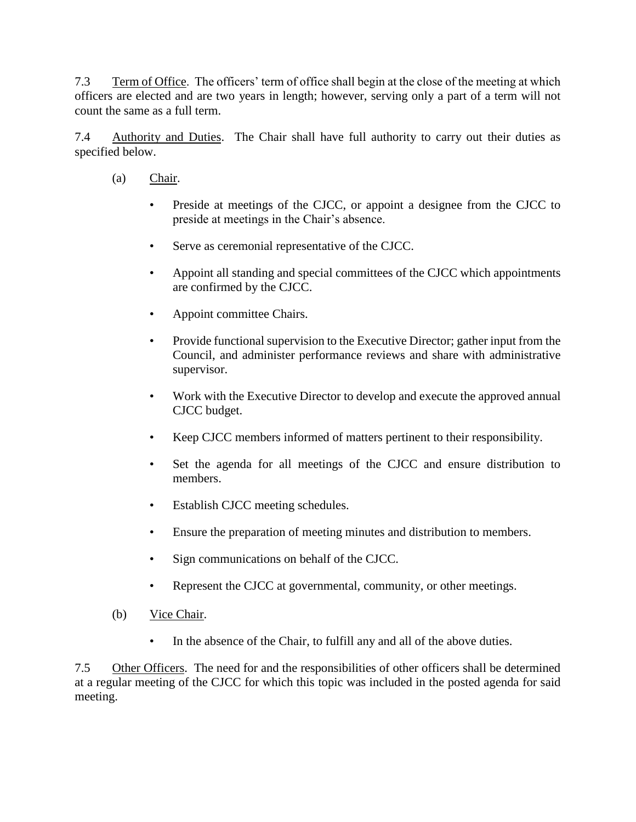7.3 Term of Office. The officers' term of office shall begin at the close of the meeting at which officers are elected and are two years in length; however, serving only a part of a term will not count the same as a full term.

7.4 Authority and Duties. The Chair shall have full authority to carry out their duties as specified below.

- (a) Chair.
	- Preside at meetings of the CJCC, or appoint a designee from the CJCC to preside at meetings in the Chair's absence.
	- Serve as ceremonial representative of the CJCC.
	- Appoint all standing and special committees of the CJCC which appointments are confirmed by the CJCC.
	- Appoint committee Chairs.
	- Provide functional supervision to the Executive Director; gather input from the Council, and administer performance reviews and share with administrative supervisor.
	- Work with the Executive Director to develop and execute the approved annual CJCC budget.
	- Keep CJCC members informed of matters pertinent to their responsibility.
	- Set the agenda for all meetings of the CJCC and ensure distribution to members.
	- Establish CJCC meeting schedules.
	- Ensure the preparation of meeting minutes and distribution to members.
	- Sign communications on behalf of the CJCC.
	- Represent the CJCC at governmental, community, or other meetings.
- (b) Vice Chair.
	- In the absence of the Chair, to fulfill any and all of the above duties.

7.5 Other Officers. The need for and the responsibilities of other officers shall be determined at a regular meeting of the CJCC for which this topic was included in the posted agenda for said meeting.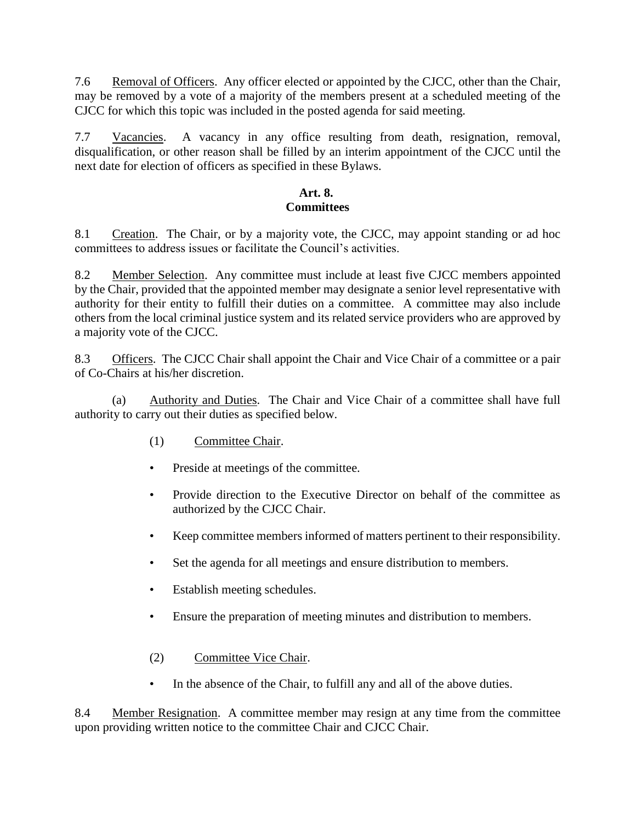7.6 Removal of Officers. Any officer elected or appointed by the CJCC, other than the Chair, may be removed by a vote of a majority of the members present at a scheduled meeting of the CJCC for which this topic was included in the posted agenda for said meeting.

7.7 Vacancies. A vacancy in any office resulting from death, resignation, removal, disqualification, or other reason shall be filled by an interim appointment of the CJCC until the next date for election of officers as specified in these Bylaws.

# **Art. 8. Committees**

8.1 Creation. The Chair, or by a majority vote, the CJCC, may appoint standing or ad hoc committees to address issues or facilitate the Council's activities.

8.2 Member Selection. Any committee must include at least five CJCC members appointed by the Chair, provided that the appointed member may designate a senior level representative with authority for their entity to fulfill their duties on a committee. A committee may also include others from the local criminal justice system and its related service providers who are approved by a majority vote of the CJCC.

8.3 Officers. The CJCC Chair shall appoint the Chair and Vice Chair of a committee or a pair of Co-Chairs at his/her discretion.

(a) Authority and Duties. The Chair and Vice Chair of a committee shall have full authority to carry out their duties as specified below.

- (1) Committee Chair.
- Preside at meetings of the committee.
- Provide direction to the Executive Director on behalf of the committee as authorized by the CJCC Chair.
- Keep committee members informed of matters pertinent to their responsibility.
- Set the agenda for all meetings and ensure distribution to members.
- Establish meeting schedules.
- Ensure the preparation of meeting minutes and distribution to members.
- (2) Committee Vice Chair.
- In the absence of the Chair, to fulfill any and all of the above duties.

8.4 Member Resignation. A committee member may resign at any time from the committee upon providing written notice to the committee Chair and CJCC Chair.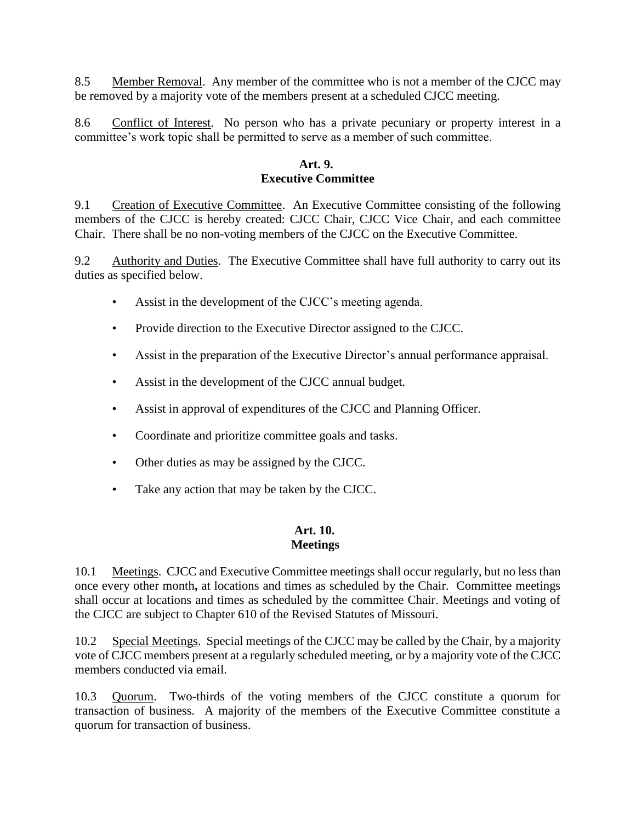8.5 Member Removal. Any member of the committee who is not a member of the CJCC may be removed by a majority vote of the members present at a scheduled CJCC meeting.

8.6 Conflict of Interest. No person who has a private pecuniary or property interest in a committee's work topic shall be permitted to serve as a member of such committee.

### **Art. 9. Executive Committee**

9.1 Creation of Executive Committee. An Executive Committee consisting of the following members of the CJCC is hereby created: CJCC Chair, CJCC Vice Chair, and each committee Chair. There shall be no non-voting members of the CJCC on the Executive Committee.

9.2 Authority and Duties. The Executive Committee shall have full authority to carry out its duties as specified below.

- Assist in the development of the CJCC's meeting agenda.
- Provide direction to the Executive Director assigned to the CJCC.
- Assist in the preparation of the Executive Director's annual performance appraisal.
- Assist in the development of the CJCC annual budget.
- Assist in approval of expenditures of the CJCC and Planning Officer.
- Coordinate and prioritize committee goals and tasks.
- Other duties as may be assigned by the CJCC.
- Take any action that may be taken by the CJCC.

#### **Art. 10. Meetings**

10.1 Meetings. CJCC and Executive Committee meetings shall occur regularly, but no less than once every other month**,** at locations and times as scheduled by the Chair. Committee meetings shall occur at locations and times as scheduled by the committee Chair. Meetings and voting of the CJCC are subject to Chapter 610 of the Revised Statutes of Missouri.

10.2 Special Meetings. Special meetings of the CJCC may be called by the Chair, by a majority vote of CJCC members present at a regularly scheduled meeting, or by a majority vote of the CJCC members conducted via email.

10.3 Quorum. Two-thirds of the voting members of the CJCC constitute a quorum for transaction of business. A majority of the members of the Executive Committee constitute a quorum for transaction of business.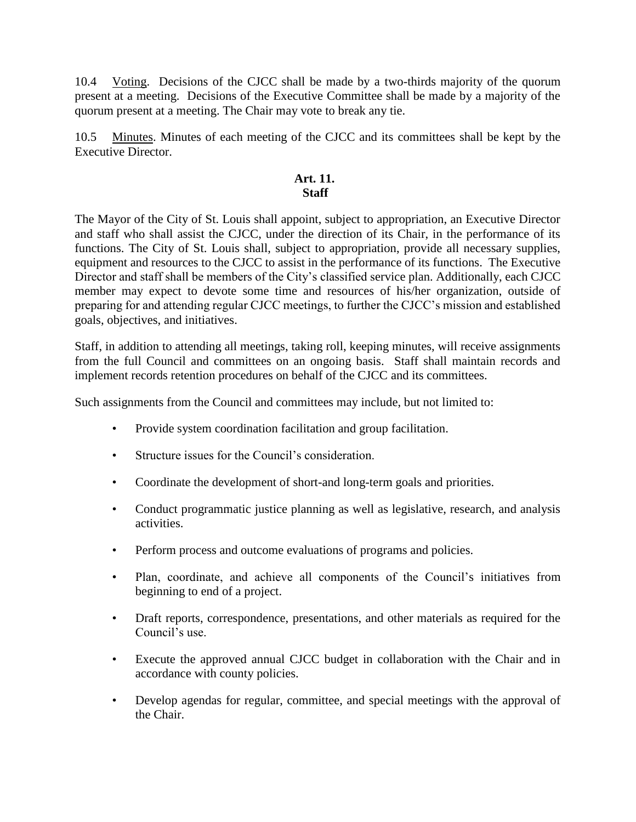10.4 Voting. Decisions of the CJCC shall be made by a two-thirds majority of the quorum present at a meeting. Decisions of the Executive Committee shall be made by a majority of the quorum present at a meeting. The Chair may vote to break any tie.

10.5 Minutes. Minutes of each meeting of the CJCC and its committees shall be kept by the Executive Director.

### **Art. 11. Staff**

The Mayor of the City of St. Louis shall appoint, subject to appropriation, an Executive Director and staff who shall assist the CJCC, under the direction of its Chair, in the performance of its functions. The City of St. Louis shall, subject to appropriation, provide all necessary supplies, equipment and resources to the CJCC to assist in the performance of its functions. The Executive Director and staff shall be members of the City's classified service plan. Additionally, each CJCC member may expect to devote some time and resources of his/her organization, outside of preparing for and attending regular CJCC meetings, to further the CJCC's mission and established goals, objectives, and initiatives.

Staff, in addition to attending all meetings, taking roll, keeping minutes, will receive assignments from the full Council and committees on an ongoing basis. Staff shall maintain records and implement records retention procedures on behalf of the CJCC and its committees.

Such assignments from the Council and committees may include, but not limited to:

- Provide system coordination facilitation and group facilitation.
- Structure issues for the Council's consideration.
- Coordinate the development of short-and long-term goals and priorities.
- Conduct programmatic justice planning as well as legislative, research, and analysis activities.
- Perform process and outcome evaluations of programs and policies.
- Plan, coordinate, and achieve all components of the Council's initiatives from beginning to end of a project.
- Draft reports, correspondence, presentations, and other materials as required for the Council's use.
- Execute the approved annual CJCC budget in collaboration with the Chair and in accordance with county policies.
- Develop agendas for regular, committee, and special meetings with the approval of the Chair.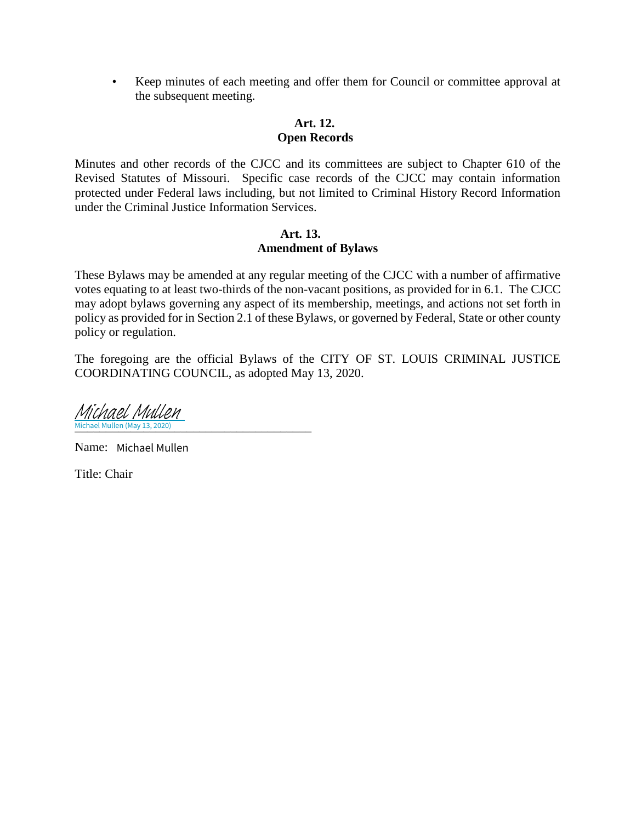• Keep minutes of each meeting and offer them for Council or committee approval at the subsequent meeting.

#### **Art. 12. Open Records**

Minutes and other records of the CJCC and its committees are subject to Chapter 610 of the Revised Statutes of Missouri. Specific case records of the CJCC may contain information protected under Federal laws including, but not limited to Criminal History Record Information under the Criminal Justice Information Services.

#### **Art. 13. Amendment of Bylaws**

These Bylaws may be amended at any regular meeting of the CJCC with a number of affirmative votes equating to at least two-thirds of the non-vacant positions, as provided for in 6.1. The CJCC may adopt bylaws governing any aspect of its membership, meetings, and actions not set forth in policy as provided for in Section 2.1 of these Bylaws, or governed by Federal, State or other county policy or regulation.

The foregoing are the official Bylaws of the CITY OF ST. LOUIS CRIMINAL JUSTICE COORDINATING COUNCIL, as adopted May 13, 2020.

\_\_\_\_\_\_\_\_\_\_\_\_\_\_\_\_\_\_\_\_\_\_\_\_\_\_\_\_\_\_\_\_\_\_\_\_\_\_ Michael Mullen (May 13, 2020) Michael Mullen

Name: Michael Mullen

Title: Chair